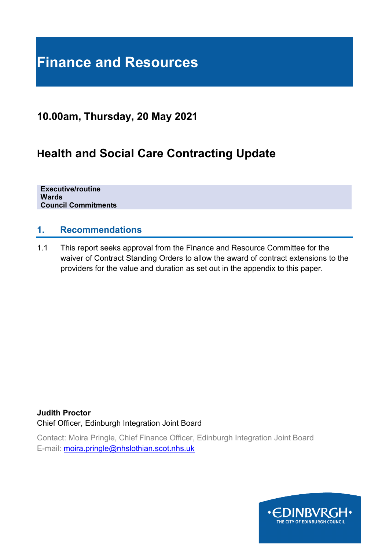# **Finance and Resources**

## **10.00am, Thursday, 20 May 2021**

## **Health and Social Care Contracting Update**

**Executive/routine Wards Council Commitments**

#### **1. Recommendations**

1.1 This report seeks approval from the Finance and Resource Committee for the waiver of Contract Standing Orders to allow the award of contract extensions to the providers for the value and duration as set out in the appendix to this paper.

**Judith Proctor** Chief Officer, Edinburgh Integration Joint Board

Contact: Moira Pringle, Chief Finance Officer, Edinburgh Integration Joint Board E-mail: [moira.pringle@nhslothian.scot.nhs.uk](mailto:moira.pringle@nhslothian.scot.nhs.uk)

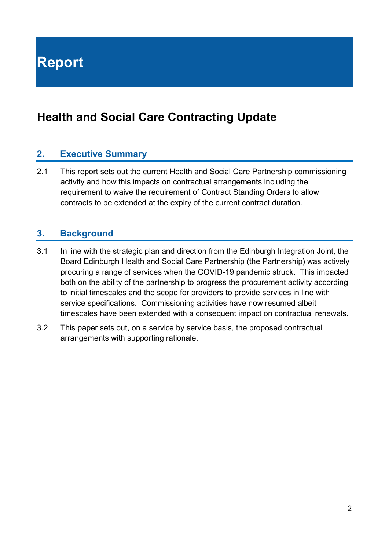**Report**

## **Health and Social Care Contracting Update**

### **2. Executive Summary**

2.1 This report sets out the current Health and Social Care Partnership commissioning activity and how this impacts on contractual arrangements including the requirement to waive the requirement of Contract Standing Orders to allow contracts to be extended at the expiry of the current contract duration.

#### **3. Background**

- 3.1 In line with the strategic plan and direction from the Edinburgh Integration Joint, the Board Edinburgh Health and Social Care Partnership (the Partnership) was actively procuring a range of services when the COVID-19 pandemic struck. This impacted both on the ability of the partnership to progress the procurement activity according to initial timescales and the scope for providers to provide services in line with service specifications. Commissioning activities have now resumed albeit timescales have been extended with a consequent impact on contractual renewals.
- 3.2 This paper sets out, on a service by service basis, the proposed contractual arrangements with supporting rationale.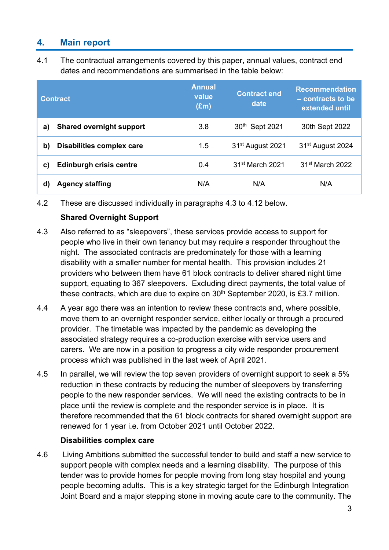## **4. Main report**

4.1 The contractual arrangements covered by this paper, annual values, contract end dates and recommendations are summarised in the table below:

| <b>Contract</b>                        | <b>Annual</b><br>value<br>$(\text{Em})$ | <b>Contract end</b><br>date  | <b>Recommendation</b><br>- contracts to be<br>extended until |
|----------------------------------------|-----------------------------------------|------------------------------|--------------------------------------------------------------|
| <b>Shared overnight support</b><br>a)  | 3.8                                     | 30th Sept 2021               | 30th Sept 2022                                               |
| b)<br><b>Disabilities complex care</b> | 1.5                                     | 31 <sup>st</sup> August 2021 | 31 <sup>st</sup> August 2024                                 |
| <b>Edinburgh crisis centre</b><br>C)   | 0.4                                     | 31 <sup>st</sup> March 2021  | 31 <sup>st</sup> March 2022                                  |
| <b>Agency staffing</b><br>d)           | N/A                                     | N/A                          | N/A                                                          |

<sup>4.2</sup> These are discussed individually in paragraphs 4.3 to 4.12 below.

#### **Shared Overnight Support**

- 4.3 Also referred to as "sleepovers", these services provide access to support for people who live in their own tenancy but may require a responder throughout the night. The associated contracts are predominately for those with a learning disability with a smaller number for mental health. This provision includes 21 providers who between them have 61 block contracts to deliver shared night time support, equating to 367 sleepovers. Excluding direct payments, the total value of these contracts, which are due to expire on  $30<sup>th</sup>$  September 2020, is £3.7 million.
- 4.4 A year ago there was an intention to review these contracts and, where possible, move them to an overnight responder service, either locally or through a procured provider. The timetable was impacted by the pandemic as developing the associated strategy requires a co-production exercise with service users and carers. We are now in a position to progress a city wide responder procurement process which was published in the last week of April 2021.
- 4.5 In parallel, we will review the top seven providers of overnight support to seek a 5% reduction in these contracts by reducing the number of sleepovers by transferring people to the new responder services. We will need the existing contracts to be in place until the review is complete and the responder service is in place. It is therefore recommended that the 61 block contracts for shared overnight support are renewed for 1 year i.e. from October 2021 until October 2022.

#### **Disabilities complex care**

4.6 Living Ambitions submitted the successful tender to build and staff a new service to support people with complex needs and a learning disability. The purpose of this tender was to provide homes for people moving from long stay hospital and young people becoming adults. This is a key strategic target for the Edinburgh Integration Joint Board and a major stepping stone in moving acute care to the community. The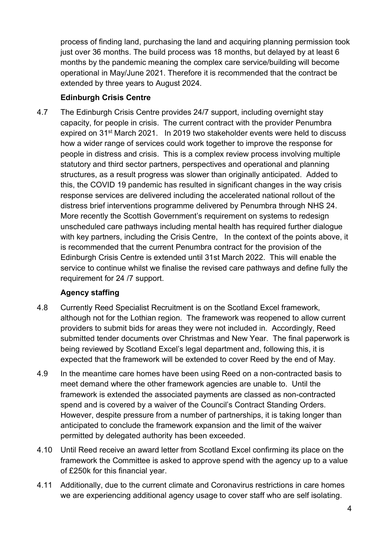process of finding land, purchasing the land and acquiring planning permission took just over 36 months. The build process was 18 months, but delayed by at least 6 months by the pandemic meaning the complex care service/building will become operational in May/June 2021. Therefore it is recommended that the contract be extended by three years to August 2024.

#### **Edinburgh Crisis Centre**

4.7 The Edinburgh Crisis Centre provides 24/7 support, including overnight stay capacity, for people in crisis. The current contract with the provider Penumbra expired on 31st March 2021. In 2019 two stakeholder events were held to discuss how a wider range of services could work together to improve the response for people in distress and crisis. This is a complex review process involving multiple statutory and third sector partners, perspectives and operational and planning structures, as a result progress was slower than originally anticipated. Added to this, the COVID 19 pandemic has resulted in significant changes in the way crisis response services are delivered including the accelerated national rollout of the distress brief interventions programme delivered by Penumbra through NHS 24. More recently the Scottish Government's requirement on systems to redesign unscheduled care pathways including mental health has required further dialogue with key partners, including the Crisis Centre, In the context of the points above, it is recommended that the current Penumbra contract for the provision of the Edinburgh Crisis Centre is extended until 31st March 2022. This will enable the service to continue whilst we finalise the revised care pathways and define fully the requirement for 24 /7 support.

#### **Agency staffing**

- 4.8 Currently Reed Specialist Recruitment is on the Scotland Excel framework, although not for the Lothian region. The framework was reopened to allow current providers to submit bids for areas they were not included in. Accordingly, Reed submitted tender documents over Christmas and New Year. The final paperwork is being reviewed by Scotland Excel's legal department and, following this, it is expected that the framework will be extended to cover Reed by the end of May.
- 4.9 In the meantime care homes have been using Reed on a non-contracted basis to meet demand where the other framework agencies are unable to. Until the framework is extended the associated payments are classed as non-contracted spend and is covered by a waiver of the Council's Contract Standing Orders. However, despite pressure from a number of partnerships, it is taking longer than anticipated to conclude the framework expansion and the limit of the waiver permitted by delegated authority has been exceeded.
- 4.10 Until Reed receive an award letter from Scotland Excel confirming its place on the framework the Committee is asked to approve spend with the agency up to a value of £250k for this financial year.
- 4.11 Additionally, due to the current climate and Coronavirus restrictions in care homes we are experiencing additional agency usage to cover staff who are self isolating.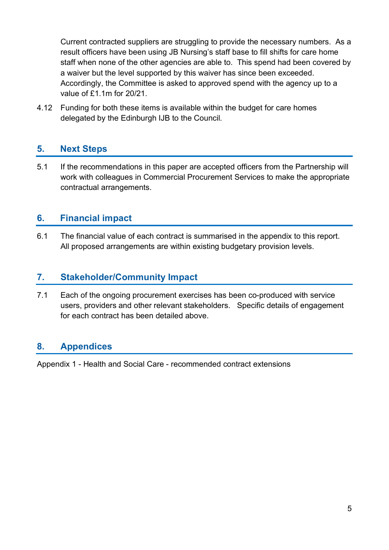Current contracted suppliers are struggling to provide the necessary numbers. As a result officers have been using JB Nursing's staff base to fill shifts for care home staff when none of the other agencies are able to. This spend had been covered by a waiver but the level supported by this waiver has since been exceeded. Accordingly, the Committee is asked to approved spend with the agency up to a value of £1.1m for 20/21.

4.12 Funding for both these items is available within the budget for care homes delegated by the Edinburgh IJB to the Council.

### **5. Next Steps**

5.1 If the recommendations in this paper are accepted officers from the Partnership will work with colleagues in Commercial Procurement Services to make the appropriate contractual arrangements.

#### **6. Financial impact**

6.1 The financial value of each contract is summarised in the appendix to this report. All proposed arrangements are within existing budgetary provision levels.

#### **7. Stakeholder/Community Impact**

7.1 Each of the ongoing procurement exercises has been co-produced with service users, providers and other relevant stakeholders. Specific details of engagement for each contract has been detailed above.

### **8. Appendices**

Appendix 1 - Health and Social Care - recommended contract extensions